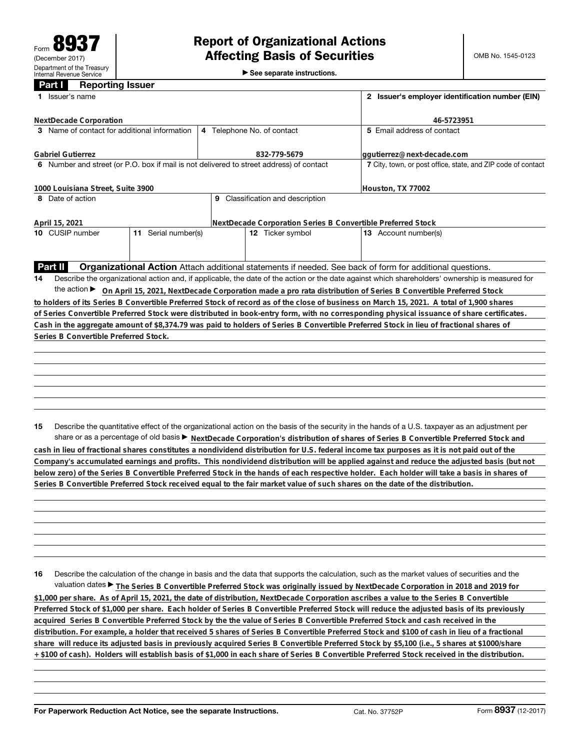►<br>► See separate instructions.

## **Part I Reporting Issuer**

|    | Issuer's name                                                                           |                     | 2 Issuer's employer identification number (EIN)              |                                                                                                                                                                                                                                                                                        |  |  |  |
|----|-----------------------------------------------------------------------------------------|---------------------|--------------------------------------------------------------|----------------------------------------------------------------------------------------------------------------------------------------------------------------------------------------------------------------------------------------------------------------------------------------|--|--|--|
|    | <b>NextDecade Corporation</b>                                                           |                     |                                                              | 46-5723951                                                                                                                                                                                                                                                                             |  |  |  |
|    | 3 Name of contact for additional information                                            |                     | 4 Telephone No. of contact                                   | 5 Email address of contact                                                                                                                                                                                                                                                             |  |  |  |
|    | <b>Gabriel Gutierrez</b>                                                                |                     | 832-779-5679                                                 | ggutierrez@next-decade.com                                                                                                                                                                                                                                                             |  |  |  |
|    | 6 Number and street (or P.O. box if mail is not delivered to street address) of contact |                     | 7 City, town, or post office, state, and ZIP code of contact |                                                                                                                                                                                                                                                                                        |  |  |  |
|    | 1000 Louisiana Street, Suite 3900                                                       |                     |                                                              | Houston, TX 77002                                                                                                                                                                                                                                                                      |  |  |  |
|    | 8 Date of action                                                                        |                     | 9 Classification and description                             |                                                                                                                                                                                                                                                                                        |  |  |  |
|    | April 15, 2021                                                                          |                     | NextDecade Corporation Series B Convertible Preferred Stock  |                                                                                                                                                                                                                                                                                        |  |  |  |
|    | 10 CUSIP number                                                                         | 11 Serial number(s) | 12 Ticker symbol                                             | 13 Account number(s)                                                                                                                                                                                                                                                                   |  |  |  |
|    |                                                                                         |                     |                                                              |                                                                                                                                                                                                                                                                                        |  |  |  |
|    | Part II                                                                                 |                     |                                                              | <b>Organizational Action</b> Attach additional statements if needed. See back of form for additional questions.                                                                                                                                                                        |  |  |  |
| 14 |                                                                                         |                     |                                                              | Describe the organizational action and, if applicable, the date of the action or the date against which shareholders' ownership is measured for                                                                                                                                        |  |  |  |
|    |                                                                                         |                     |                                                              | the action ► On April 15, 2021, NextDecade Corporation made a pro rata distribution of Series B Convertible Preferred Stock                                                                                                                                                            |  |  |  |
|    |                                                                                         |                     |                                                              | to holders of its Series B Convertible Preferred Stock of record as of the close of business on March 15, 2021. A total of 1,900 shares                                                                                                                                                |  |  |  |
|    |                                                                                         |                     |                                                              | of Series Convertible Preferred Stock were distributed in book-entry form, with no corresponding physical issuance of share certificates.                                                                                                                                              |  |  |  |
|    |                                                                                         |                     |                                                              | Cash in the aggregate amount of \$8,374.79 was paid to holders of Series B Convertible Preferred Stock in lieu of fractional shares of                                                                                                                                                 |  |  |  |
|    | Series B Convertible Preferred Stock.                                                   |                     |                                                              |                                                                                                                                                                                                                                                                                        |  |  |  |
|    |                                                                                         |                     |                                                              |                                                                                                                                                                                                                                                                                        |  |  |  |
|    |                                                                                         |                     |                                                              |                                                                                                                                                                                                                                                                                        |  |  |  |
|    |                                                                                         |                     |                                                              |                                                                                                                                                                                                                                                                                        |  |  |  |
|    |                                                                                         |                     |                                                              |                                                                                                                                                                                                                                                                                        |  |  |  |
|    |                                                                                         |                     |                                                              |                                                                                                                                                                                                                                                                                        |  |  |  |
|    |                                                                                         |                     |                                                              |                                                                                                                                                                                                                                                                                        |  |  |  |
|    |                                                                                         |                     |                                                              |                                                                                                                                                                                                                                                                                        |  |  |  |
| 15 |                                                                                         |                     |                                                              | Describe the quantitative effect of the organizational action on the basis of the security in the hands of a U.S. taxpayer as an adjustment per<br>share or as a percentage of old basis > NextDecade Corporation's distribution of shares of Series B Convertible Preferred Stock and |  |  |  |
|    |                                                                                         |                     |                                                              |                                                                                                                                                                                                                                                                                        |  |  |  |

**cash in lieu of fractional shares constitutes a nondividend distribution for U.S. federal income tax purposes as it is not paid out of the Company's accumulated earnings and profits. This nondividend distribution will be applied against and reduce the adjusted basis (but not below zero) of the Series B Convertible Preferred Stock in the hands of each respective holder. Each holder will take a basis in shares of Series B Convertible Preferred Stock received equal to the fair market value of such shares on the date of the distribution.**

**16** Describe the calculation of the change in basis and the data that supports the calculation, such as the market values of securities and the valuation dates ▶ The Series B Convertible Preferred Stock was originally issued by NextDecade Corporation in 2018 and 2019 for **\$1,000 per share. As of April 15, 2021, the date of distribution, NextDecade Corporation ascribes a value to the Series B Convertible Preferred Stock of \$1,000 per share. Each holder of Series B Convertible Preferred Stock will reduce the adjusted basis of its previously acquired Series B Convertible Preferred Stock by the the value of Series B Convertible Preferred Stock and cash received in the distribution. For example, a holder that received 5 shares of Series B Convertible Preferred Stock and \$100 of cash in lieu of a fractional share will reduce its adjusted basis in previously acquired Series B Convertible Preferred Stock by \$5,100 (i.e., 5 shares at \$1000/share + \$100 of cash). Holders will establish basis of \$1,000 in each share of Series B Convertible Preferred Stock received in the distribution.**